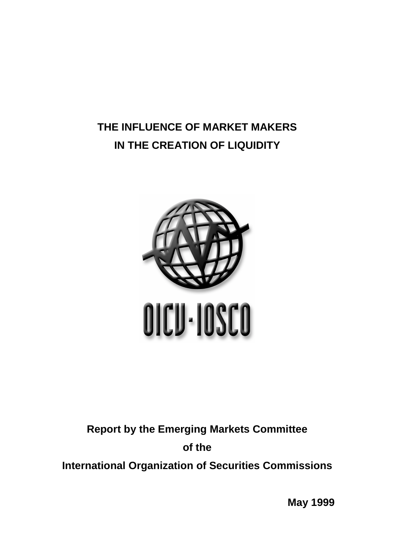# **THE INFLUENCE OF MARKET MAKERS IN THE CREATION OF LIQUIDITY**



# **Report by the Emerging Markets Committee of the International Organization of Securities Commissions**

**May 1999**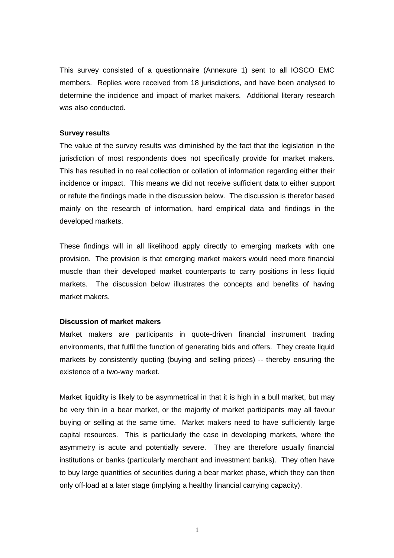This survey consisted of a questionnaire (Annexure 1) sent to all IOSCO EMC members. Replies were received from 18 jurisdictions, and have been analysed to determine the incidence and impact of market makers. Additional literary research was also conducted.

#### **Survey results**

The value of the survey results was diminished by the fact that the legislation in the jurisdiction of most respondents does not specifically provide for market makers. This has resulted in no real collection or collation of information regarding either their incidence or impact. This means we did not receive sufficient data to either support or refute the findings made in the discussion below. The discussion is therefor based mainly on the research of information, hard empirical data and findings in the developed markets.

These findings will in all likelihood apply directly to emerging markets with one provision. The provision is that emerging market makers would need more financial muscle than their developed market counterparts to carry positions in less liquid markets. The discussion below illustrates the concepts and benefits of having market makers.

#### **Discussion of market makers**

Market makers are participants in quote-driven financial instrument trading environments, that fulfil the function of generating bids and offers. They create liquid markets by consistently quoting (buying and selling prices) -- thereby ensuring the existence of a two-way market.

Market liquidity is likely to be asymmetrical in that it is high in a bull market, but may be very thin in a bear market, or the majority of market participants may all favour buying or selling at the same time. Market makers need to have sufficiently large capital resources. This is particularly the case in developing markets, where the asymmetry is acute and potentially severe. They are therefore usually financial institutions or banks (particularly merchant and investment banks). They often have to buy large quantities of securities during a bear market phase, which they can then only off-load at a later stage (implying a healthy financial carrying capacity).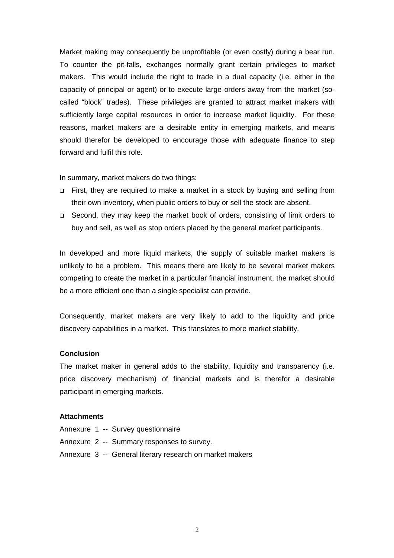Market making may consequently be unprofitable (or even costly) during a bear run. To counter the pit-falls, exchanges normally grant certain privileges to market makers. This would include the right to trade in a dual capacity (i.e. either in the capacity of principal or agent) or to execute large orders away from the market (socalled "block" trades). These privileges are granted to attract market makers with sufficiently large capital resources in order to increase market liquidity. For these reasons, market makers are a desirable entity in emerging markets, and means should therefor be developed to encourage those with adequate finance to step forward and fulfil this role.

In summary, market makers do two things:

- □ First, they are required to make a market in a stock by buying and selling from their own inventory, when public orders to buy or sell the stock are absent.
- □ Second, they may keep the market book of orders, consisting of limit orders to buy and sell, as well as stop orders placed by the general market participants.

In developed and more liquid markets, the supply of suitable market makers is unlikely to be a problem. This means there are likely to be several market makers competing to create the market in a particular financial instrument, the market should be a more efficient one than a single specialist can provide.

Consequently, market makers are very likely to add to the liquidity and price discovery capabilities in a market. This translates to more market stability.

#### **Conclusion**

The market maker in general adds to the stability, liquidity and transparency (i.e. price discovery mechanism) of financial markets and is therefor a desirable participant in emerging markets.

#### **Attachments**

- Annexure 1 -- Survey questionnaire
- Annexure 2 -- Summary responses to survey.
- Annexure 3 -- General literary research on market makers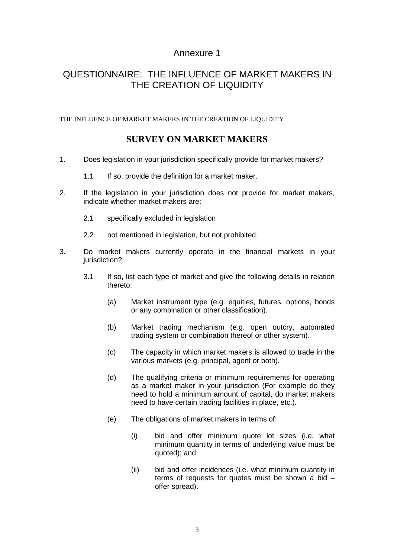# Annexure 1

# QUESTIONNAIRE: THE INFLUENCE OF MARKET MAKERS IN THE CREATION OF LIQUIDITY

THE INFLUENCE OF MARKET MAKERS IN THE CREATION OF LIQUIDITY

# **SURVEY ON MARKET MAKERS**

- 1. Does legislation in your jurisdiction specifically provide for market makers?
	- 1.1 If so, provide the definition for a market maker.
- 2. If the legislation in your jurisdiction does not provide for market makers, indicate whether market makers are:
	- 2.1 specifically excluded in legislation
	- 2.2 not mentioned in legislation, but not prohibited.
- 3. Do market makers currently operate in the financial markets in your jurisdiction?
	- 3.1 If so, list each type of market and give the following details in relation thereto:
		- (a) Market instrument type (e.g. equities, futures, options, bonds or any combination or other classification).
		- (b) Market trading mechanism (e.g. open outcry, automated trading system or combination thereof or other system).
		- (c) The capacity in which market makers is allowed to trade in the various markets (e.g. principal, agent or both).
		- (d) The qualifying criteria or minimum requirements for operating as a market maker in your jurisdiction (For example do they need to hold a minimum amount of capital, do market makers need to have certain trading facilities in place, etc.).
		- (e) The obligations of market makers in terms of:
			- (i) bid and offer minimum quote lot sizes (i.e. what minimum quantity in terms of underlying value must be quoted); and
			- (ii) bid and offer incidences (i.e. what minimum quantity in terms of requests for quotes must be shown a bid – offer spread).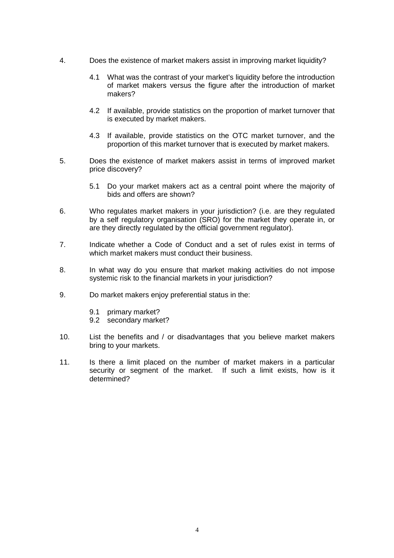- 4. Does the existence of market makers assist in improving market liquidity?
	- 4.1 What was the contrast of your market's liquidity before the introduction of market makers versus the figure after the introduction of market makers?
	- 4.2 If available, provide statistics on the proportion of market turnover that is executed by market makers.
	- 4.3 If available, provide statistics on the OTC market turnover, and the proportion of this market turnover that is executed by market makers.
- 5. Does the existence of market makers assist in terms of improved market price discovery?
	- 5.1 Do your market makers act as a central point where the majority of bids and offers are shown?
- 6. Who regulates market makers in your jurisdiction? (i.e. are they regulated by a self regulatory organisation (SRO) for the market they operate in, or are they directly regulated by the official government regulator).
- 7. Indicate whether a Code of Conduct and a set of rules exist in terms of which market makers must conduct their business.
- 8. In what way do you ensure that market making activities do not impose systemic risk to the financial markets in your jurisdiction?
- 9. Do market makers enjoy preferential status in the:
	- 9.1 primary market?
	- 9.2 secondary market?
- 10. List the benefits and / or disadvantages that you believe market makers bring to your markets.
- 11. Is there a limit placed on the number of market makers in a particular security or segment of the market. If such a limit exists, how is it determined?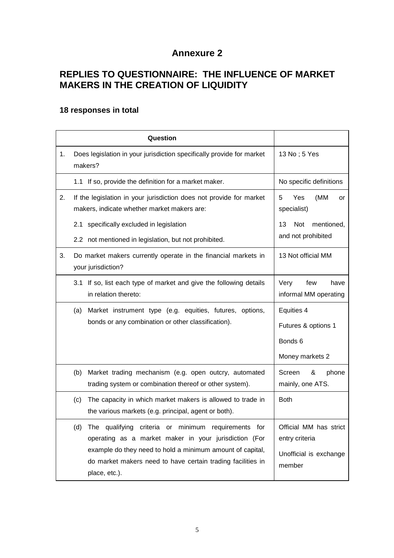# **Annexure 2**

# **REPLIES TO QUESTIONNAIRE: THE INFLUENCE OF MARKET MAKERS IN THE CREATION OF LIQUIDITY**

# **18 responses in total**

|    | Question                                                                                                                                  |                                              |
|----|-------------------------------------------------------------------------------------------------------------------------------------------|----------------------------------------------|
| 1. | Does legislation in your jurisdiction specifically provide for market<br>makers?                                                          | 13 No; 5 Yes                                 |
|    | 1.1 If so, provide the definition for a market maker.                                                                                     | No specific definitions                      |
| 2. | If the legislation in your jurisdiction does not provide for market<br>makers, indicate whether market makers are:                        | 5<br>(MM<br>Yes<br>or<br>specialist)         |
|    | 2.1<br>specifically excluded in legislation                                                                                               | mentioned,<br>13<br>Not                      |
|    | 2.2 not mentioned in legislation, but not prohibited.                                                                                     | and not prohibited                           |
| 3. | Do market makers currently operate in the financial markets in<br>your jurisdiction?                                                      | 13 Not official MM                           |
|    | If so, list each type of market and give the following details<br>3.1<br>in relation thereto:                                             | Very<br>few<br>have<br>informal MM operating |
|    | Market instrument type (e.g. equities, futures, options,<br>(a)                                                                           | Equities 4                                   |
|    | bonds or any combination or other classification).                                                                                        | Futures & options 1                          |
|    |                                                                                                                                           | Bonds <sub>6</sub>                           |
|    |                                                                                                                                           | Money markets 2                              |
|    | Market trading mechanism (e.g. open outcry, automated<br>(b)<br>trading system or combination thereof or other system).                   | Screen<br>&<br>phone<br>mainly, one ATS.     |
|    | The capacity in which market makers is allowed to trade in<br>(c)<br>the various markets (e.g. principal, agent or both).                 | <b>Both</b>                                  |
|    | (d) The qualifying criteria or minimum requirements for<br>operating as a market maker in your jurisdiction (For                          | Official MM has strict<br>entry criteria     |
|    | example do they need to hold a minimum amount of capital,<br>do market makers need to have certain trading facilities in<br>place, etc.). | Unofficial is exchange<br>member             |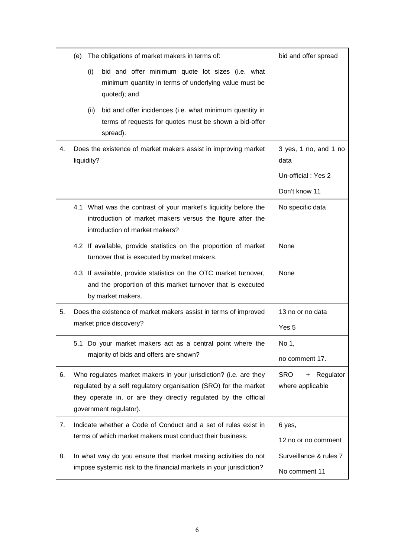|    | (e)                                                                                                                                                                                                                               |      | The obligations of market makers in terms of:                                                                                                                  | bid and offer spread                                                 |
|----|-----------------------------------------------------------------------------------------------------------------------------------------------------------------------------------------------------------------------------------|------|----------------------------------------------------------------------------------------------------------------------------------------------------------------|----------------------------------------------------------------------|
|    |                                                                                                                                                                                                                                   | (i)  | bid and offer minimum quote lot sizes (i.e. what<br>minimum quantity in terms of underlying value must be<br>quoted); and                                      |                                                                      |
|    |                                                                                                                                                                                                                                   | (ii) | bid and offer incidences (i.e. what minimum quantity in<br>terms of requests for quotes must be shown a bid-offer<br>spread).                                  |                                                                      |
| 4. | Does the existence of market makers assist in improving market<br>liquidity?                                                                                                                                                      |      |                                                                                                                                                                | 3 yes, 1 no, and 1 no<br>data<br>Un-official: Yes 2<br>Don't know 11 |
|    |                                                                                                                                                                                                                                   |      | 4.1 What was the contrast of your market's liquidity before the<br>introduction of market makers versus the figure after the<br>introduction of market makers? | No specific data                                                     |
|    |                                                                                                                                                                                                                                   |      | 4.2 If available, provide statistics on the proportion of market<br>turnover that is executed by market makers.                                                | None                                                                 |
|    |                                                                                                                                                                                                                                   |      | 4.3 If available, provide statistics on the OTC market turnover,<br>and the proportion of this market turnover that is executed<br>by market makers.           | None                                                                 |
| 5. | Does the existence of market makers assist in terms of improved<br>market price discovery?                                                                                                                                        |      |                                                                                                                                                                | 13 no or no data<br>Yes 5                                            |
|    |                                                                                                                                                                                                                                   |      | 5.1 Do your market makers act as a central point where the<br>majority of bids and offers are shown?                                                           | No 1,<br>no comment 17.                                              |
| 6. | Who regulates market makers in your jurisdiction? (i.e. are they<br>regulated by a self regulatory organisation (SRO) for the market<br>they operate in, or are they directly regulated by the official<br>government regulator). |      |                                                                                                                                                                | <b>SRO</b><br>Regulator<br>$+$<br>where applicable                   |
| 7. | Indicate whether a Code of Conduct and a set of rules exist in<br>terms of which market makers must conduct their business.                                                                                                       |      |                                                                                                                                                                | 6 yes,<br>12 no or no comment                                        |
| 8. |                                                                                                                                                                                                                                   |      | In what way do you ensure that market making activities do not<br>impose systemic risk to the financial markets in your jurisdiction?                          | Surveillance & rules 7<br>No comment 11                              |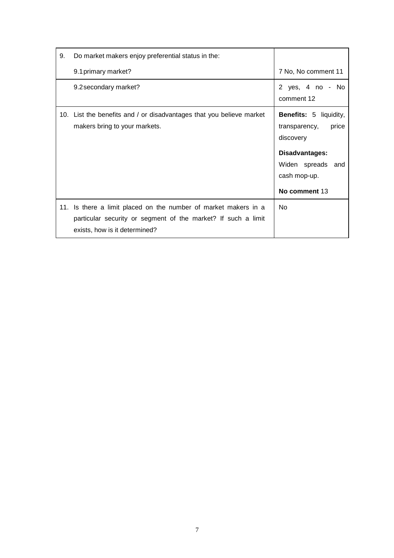| 9. | Do market makers enjoy preferential status in the:                                                                                                                |                                                                                                                |
|----|-------------------------------------------------------------------------------------------------------------------------------------------------------------------|----------------------------------------------------------------------------------------------------------------|
|    | 9.1 primary market?                                                                                                                                               | 7 No, No comment 11                                                                                            |
|    | 9.2 secondary market?                                                                                                                                             | 2 yes, 4 no - No<br>comment 12                                                                                 |
|    | 10. List the benefits and / or disadvantages that you believe market<br>makers bring to your markets.                                                             | <b>Benefits:</b> 5 liquidity,<br>transparency,<br>price<br>discovery<br>Disadvantages:<br>Widen spreads<br>and |
|    |                                                                                                                                                                   | cash mop-up.<br>No comment 13                                                                                  |
|    | 11. Is there a limit placed on the number of market makers in a<br>particular security or segment of the market? If such a limit<br>exists, how is it determined? | No                                                                                                             |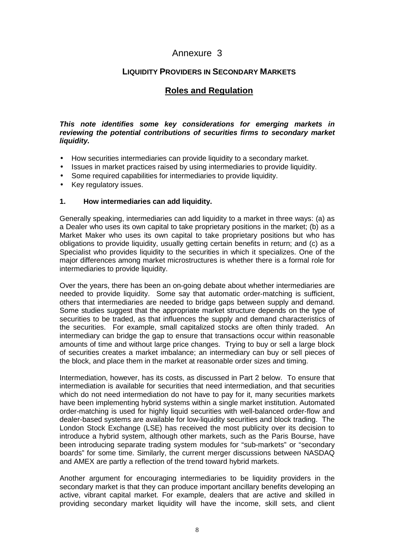# Annexure 3

# **LIQUIDITY PROVIDERS IN SECONDARY MARKETS**

# **Roles and Regulation**

## *This note identifies some key considerations for emerging markets in reviewing the potential contributions of securities firms to secondary market liquidity.*

- How securities intermediaries can provide liquidity to a secondary market.
- Issues in market practices raised by using intermediaries to provide liquidity.
- Some required capabilities for intermediaries to provide liquidity.
- Key regulatory issues.

### **1. How intermediaries can add liquidity.**

Generally speaking, intermediaries can add liquidity to a market in three ways: (a) as a Dealer who uses its own capital to take proprietary positions in the market; (b) as a Market Maker who uses its own capital to take proprietary positions but who has obligations to provide liquidity, usually getting certain benefits in return; and (c) as a Specialist who provides liquidity to the securities in which it specializes. One of the major differences among market microstructures is whether there is a formal role for intermediaries to provide liquidity.

Over the years, there has been an on-going debate about whether intermediaries are needed to provide liquidity. Some say that automatic order-matching is sufficient, others that intermediaries are needed to bridge gaps between supply and demand. Some studies suggest that the appropriate market structure depends on the type of securities to be traded, as that influences the supply and demand characteristics of the securities. For example, small capitalized stocks are often thinly traded. An intermediary can bridge the gap to ensure that transactions occur within reasonable amounts of time and without large price changes. Trying to buy or sell a large block of securities creates a market imbalance; an intermediary can buy or sell pieces of the block, and place them in the market at reasonable order sizes and timing.

Intermediation, however, has its costs, as discussed in Part 2 below. To ensure that intermediation is available for securities that need intermediation, and that securities which do not need intermediation do not have to pay for it, many securities markets have been implementing hybrid systems within a single market institution. Automated order-matching is used for highly liquid securities with well-balanced order-flow and dealer-based systems are available for low-liquidity securities and block trading. The London Stock Exchange (LSE) has received the most publicity over its decision to introduce a hybrid system, although other markets, such as the Paris Bourse, have been introducing separate trading system modules for "sub-markets" or "secondary boards" for some time. Similarly, the current merger discussions between NASDAQ and AMEX are partly a reflection of the trend toward hybrid markets.

Another argument for encouraging intermediaries to be liquidity providers in the secondary market is that they can produce important ancillary benefits developing an active, vibrant capital market. For example, dealers that are active and skilled in providing secondary market liquidity will have the income, skill sets, and client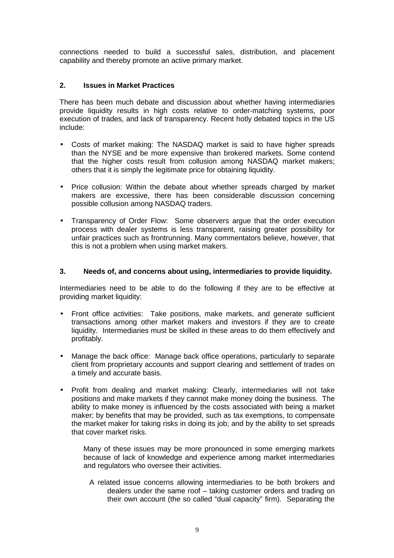connections needed to build a successful sales, distribution, and placement capability and thereby promote an active primary market.

## **2. Issues in Market Practices**

There has been much debate and discussion about whether having intermediaries provide liquidity results in high costs relative to order-matching systems, poor execution of trades, and lack of transparency. Recent hotly debated topics in the US include:

- Costs of market making: The NASDAQ market is said to have higher spreads than the NYSE and be more expensive than brokered markets. Some contend that the higher costs result from collusion among NASDAQ market makers; others that it is simply the legitimate price for obtaining liquidity.
- Price collusion: Within the debate about whether spreads charged by market makers are excessive, there has been considerable discussion concerning possible collusion among NASDAQ traders.
- Transparency of Order Flow: Some observers argue that the order execution process with dealer systems is less transparent, raising greater possibility for unfair practices such as frontrunning. Many commentators believe, however, that this is not a problem when using market makers.

## **3. Needs of, and concerns about using, intermediaries to provide liquidity.**

Intermediaries need to be able to do the following if they are to be effective at providing market liquidity:

- Front office activities: Take positions, make markets, and generate sufficient transactions among other market makers and investors if they are to create liquidity. Intermediaries must be skilled in these areas to do them effectively and profitably.
- Manage the back office: Manage back office operations, particularly to separate client from proprietary accounts and support clearing and settlement of trades on a timely and accurate basis.
- Profit from dealing and market making: Clearly, intermediaries will not take positions and make markets if they cannot make money doing the business. The ability to make money is influenced by the costs associated with being a market maker; by benefits that may be provided, such as tax exemptions, to compensate the market maker for taking risks in doing its job; and by the ability to set spreads that cover market risks.

Many of these issues may be more pronounced in some emerging markets because of lack of knowledge and experience among market intermediaries and regulators who oversee their activities.

A related issue concerns allowing intermediaries to be both brokers and dealers under the same roof – taking customer orders and trading on their own account (the so called "dual capacity" firm). Separating the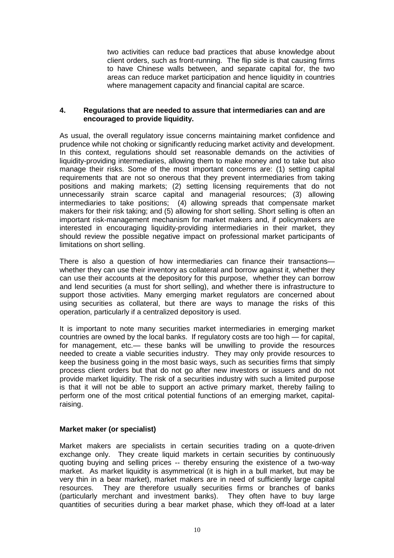two activities can reduce bad practices that abuse knowledge about client orders, such as front-running. The flip side is that causing firms to have Chinese walls between, and separate capital for, the two areas can reduce market participation and hence liquidity in countries where management capacity and financial capital are scarce.

### **4. Regulations that are needed to assure that intermediaries can and are encouraged to provide liquidity.**

As usual, the overall regulatory issue concerns maintaining market confidence and prudence while not choking or significantly reducing market activity and development. In this context, regulations should set reasonable demands on the activities of liquidity-providing intermediaries, allowing them to make money and to take but also manage their risks. Some of the most important concerns are: (1) setting capital requirements that are not so onerous that they prevent intermediaries from taking positions and making markets; (2) setting licensing requirements that do not unnecessarily strain scarce capital and managerial resources; (3) allowing intermediaries to take positions; (4) allowing spreads that compensate market makers for their risk taking; and (5) allowing for short selling. Short selling is often an important risk-management mechanism for market makers and, if policymakers are interested in encouraging liquidity-providing intermediaries in their market, they should review the possible negative impact on professional market participants of limitations on short selling.

There is also a question of how intermediaries can finance their transactions whether they can use their inventory as collateral and borrow against it, whether they can use their accounts at the depository for this purpose, whether they can borrow and lend securities (a must for short selling), and whether there is infrastructure to support those activities. Many emerging market regulators are concerned about using securities as collateral, but there are ways to manage the risks of this operation, particularly if a centralized depository is used.

It is important to note many securities market intermediaries in emerging market countries are owned by the local banks. If regulatory costs are too high — for capital, for management, etc.— these banks will be unwilling to provide the resources needed to create a viable securities industry. They may only provide resources to keep the business going in the most basic ways, such as securities firms that simply process client orders but that do not go after new investors or issuers and do not provide market liquidity. The risk of a securities industry with such a limited purpose is that it will not be able to support an active primary market, thereby failing to perform one of the most critical potential functions of an emerging market, capitalraising.

## **Market maker (or specialist)**

Market makers are specialists in certain securities trading on a quote-driven exchange only. They create liquid markets in certain securities by continuously quoting buying and selling prices -- thereby ensuring the existence of a two-way market. As market liquidity is asymmetrical (it is high in a bull market, but may be very thin in a bear market), market makers are in need of sufficiently large capital resources. They are therefore usually securities firms or branches of banks (particularly merchant and investment banks). They often have to buy large quantities of securities during a bear market phase, which they off-load at a later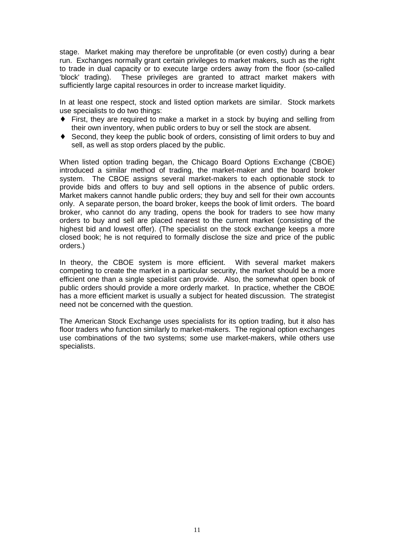stage. Market making may therefore be unprofitable (or even costly) during a bear run. Exchanges normally grant certain privileges to market makers, such as the right to trade in dual capacity or to execute large orders away from the floor (so-called 'block' trading). These privileges are granted to attract market makers with sufficiently large capital resources in order to increase market liquidity.

In at least one respect, stock and listed option markets are similar. Stock markets use specialists to do two things:

- ♦ First, they are required to make a market in a stock by buying and selling from their own inventory, when public orders to buy or sell the stock are absent.
- ♦ Second, they keep the public book of orders, consisting of limit orders to buy and sell, as well as stop orders placed by the public.

When listed option trading began, the Chicago Board Options Exchange (CBOE) introduced a similar method of trading, the market-maker and the board broker system. The CBOE assigns several market-makers to each optionable stock to provide bids and offers to buy and sell options in the absence of public orders. Market makers cannot handle public orders; they buy and sell for their own accounts only. A separate person, the board broker, keeps the book of limit orders. The board broker, who cannot do any trading, opens the book for traders to see how many orders to buy and sell are placed nearest to the current market (consisting of the highest bid and lowest offer). (The specialist on the stock exchange keeps a more closed book; he is not required to formally disclose the size and price of the public orders.)

In theory, the CBOE system is more efficient. With several market makers competing to create the market in a particular security, the market should be a more efficient one than a single specialist can provide. Also, the somewhat open book of public orders should provide a more orderly market. In practice, whether the CBOE has a more efficient market is usually a subject for heated discussion. The strategist need not be concerned with the question.

The American Stock Exchange uses specialists for its option trading, but it also has floor traders who function similarly to market-makers. The regional option exchanges use combinations of the two systems; some use market-makers, while others use specialists.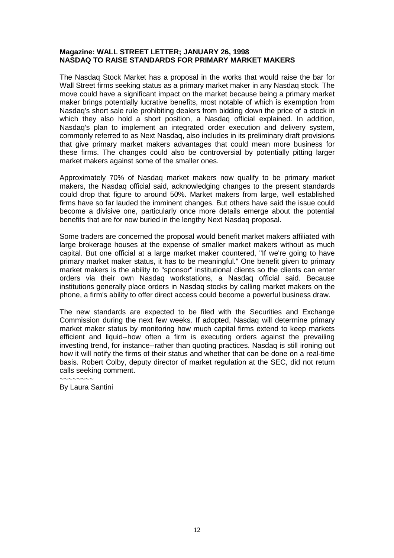#### **Magazine: WALL STREET LETTER; JANUARY 26, 1998 NASDAQ TO RAISE STANDARDS FOR PRIMARY MARKET MAKERS**

The Nasdaq Stock Market has a proposal in the works that would raise the bar for Wall Street firms seeking status as a primary market maker in any Nasdaq stock. The move could have a significant impact on the market because being a primary market maker brings potentially lucrative benefits, most notable of which is exemption from Nasdaq's short sale rule prohibiting dealers from bidding down the price of a stock in which they also hold a short position, a Nasdaq official explained. In addition, Nasdaq's plan to implement an integrated order execution and delivery system, commonly referred to as Next Nasdaq, also includes in its preliminary draft provisions that give primary market makers advantages that could mean more business for these firms. The changes could also be controversial by potentially pitting larger market makers against some of the smaller ones.

Approximately 70% of Nasdaq market makers now qualify to be primary market makers, the Nasdaq official said, acknowledging changes to the present standards could drop that figure to around 50%. Market makers from large, well established firms have so far lauded the imminent changes. But others have said the issue could become a divisive one, particularly once more details emerge about the potential benefits that are for now buried in the lengthy Next Nasdaq proposal.

Some traders are concerned the proposal would benefit market makers affiliated with large brokerage houses at the expense of smaller market makers without as much capital. But one official at a large market maker countered, "If we're going to have primary market maker status, it has to be meaningful." One benefit given to primary market makers is the ability to "sponsor" institutional clients so the clients can enter orders via their own Nasdaq workstations, a Nasdaq official said. Because institutions generally place orders in Nasdaq stocks by calling market makers on the phone, a firm's ability to offer direct access could become a powerful business draw.

The new standards are expected to be filed with the Securities and Exchange Commission during the next few weeks. If adopted, Nasdaq will determine primary market maker status by monitoring how much capital firms extend to keep markets efficient and liquid--how often a firm is executing orders against the prevailing investing trend, for instance--rather than quoting practices. Nasdaq is still ironing out how it will notify the firms of their status and whether that can be done on a real-time basis. Robert Colby, deputy director of market regulation at the SEC, did not return calls seeking comment.  $\sim$ ~~~~~~

By Laura Santini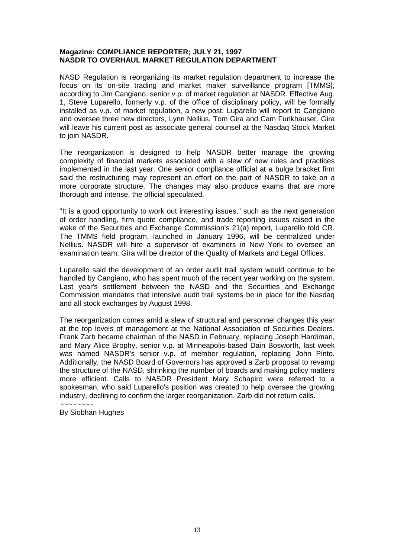### **Magazine: COMPLIANCE REPORTER; JULY 21, 1997 NASDR TO OVERHAUL MARKET REGULATION DEPARTMENT**

NASD Regulation is reorganizing its market regulation department to increase the focus on its on-site trading and market maker surveillance program [TMMS], according to Jim Cangiano, senior v.p. of market regulation at NASDR. Effective Aug. 1, Steve Luparello, formerly v.p. of the office of disciplinary policy, will be formally installed as v.p. of market regulation, a new post. Luparello will report to Cangiano and oversee three new directors, Lynn Nellius, Tom Gira and Cam Funkhauser. Gira will leave his current post as associate general counsel at the Nasdaq Stock Market to join NASDR.

The reorganization is designed to help NASDR better manage the growing complexity of financial markets associated with a slew of new rules and practices implemented in the last year. One senior compliance official at a bulge bracket firm said the restructuring may represent an effort on the part of NASDR to take on a more corporate structure. The changes may also produce exams that are more thorough and intense, the official speculated.

"It is a good opportunity to work out interesting issues," such as the next generation of order handling, firm quote compliance, and trade reporting issues raised in the wake of the Securities and Exchange Commission's 21(a) report, Luparello told CR. The TMMS field program, launched in January 1996, will be centralized under Nellius. NASDR will hire a supervisor of examiners in New York to oversee an examination team. Gira will be director of the Quality of Markets and Legal Offices.

Luparello said the development of an order audit trail system would continue to be handled by Cangiano, who has spent much of the recent year working on the system. Last year's settlement between the NASD and the Securities and Exchange Commission mandates that intensive audit trail systems be in place for the Nasdaq and all stock exchanges by August 1998.

The reorganization comes amid a slew of structural and personnel changes this year at the top levels of management at the National Association of Securities Dealers. Frank Zarb became chairman of the NASD in February, replacing Joseph Hardiman, and Mary Alice Brophy, senior v.p. at Minneapolis-based Dain Bosworth, last week was named NASDR's senior v.p. of member regulation, replacing John Pinto. Additionally, the NASD Board of Governors has approved a Zarb proposal to revamp the structure of the NASD, shrinking the number of boards and making policy matters more efficient. Calls to NASDR President Mary Schapiro were referred to a spokesman, who said Luparello's position was created to help oversee the growing industry, declining to confirm the larger reorganization. Zarb did not return calls.

~~~~~~~~ By Siobhan Hughes